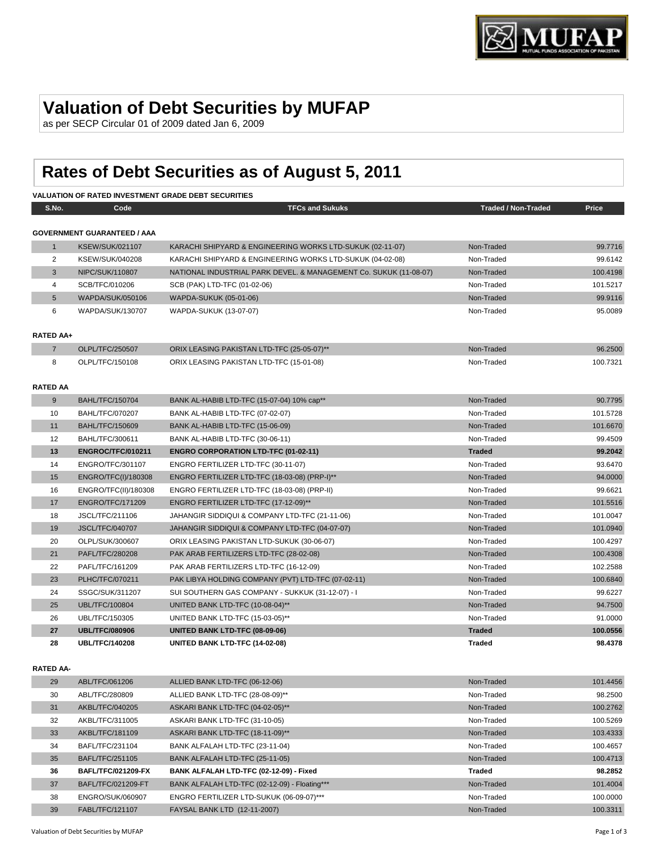

# **Valuation of Debt Securities by MUFAP**

as per SECP Circular 01 of 2009 dated Jan 6, 2009

# **Rates of Debt Securities as of August 5, 2011**

# **VALUATION OF RATED INVESTMENT GRADE DEBT SECURITIES**

| S.No.                  | Code                               | <b>TFCs and Sukuks</b>                                            | <b>Traded / Non-Traded</b> | Price              |
|------------------------|------------------------------------|-------------------------------------------------------------------|----------------------------|--------------------|
|                        | <b>GOVERNMENT GUARANTEED / AAA</b> |                                                                   |                            |                    |
| $\mathbf{1}$           | <b>KSEW/SUK/021107</b>             | KARACHI SHIPYARD & ENGINEERING WORKS LTD-SUKUK (02-11-07)         | Non-Traded                 | 99.7716            |
| 2                      | KSEW/SUK/040208                    | KARACHI SHIPYARD & ENGINEERING WORKS LTD-SUKUK (04-02-08)         | Non-Traded                 | 99.6142            |
| 3                      | NIPC/SUK/110807                    | NATIONAL INDUSTRIAL PARK DEVEL. & MANAGEMENT Co. SUKUK (11-08-07) | Non-Traded                 | 100.4198           |
| 4                      | SCB/TFC/010206                     | SCB (PAK) LTD-TFC (01-02-06)                                      | Non-Traded                 | 101.5217           |
| $5\phantom{.0}$        | WAPDA/SUK/050106                   | WAPDA-SUKUK (05-01-06)                                            | Non-Traded                 | 99.9116            |
| 6                      | WAPDA/SUK/130707                   | WAPDA-SUKUK (13-07-07)                                            | Non-Traded                 | 95.0089            |
| <b>RATED AA+</b>       |                                    |                                                                   |                            |                    |
| $\overline{7}$         | OLPL/TFC/250507                    | ORIX LEASING PAKISTAN LTD-TFC (25-05-07)**                        | Non-Traded                 | 96.2500            |
| 8                      | OLPL/TFC/150108                    | ORIX LEASING PAKISTAN LTD-TFC (15-01-08)                          | Non-Traded                 | 100.7321           |
|                        |                                    |                                                                   |                            |                    |
| <b>RATED AA</b>        |                                    |                                                                   |                            |                    |
| 9                      | <b>BAHL/TFC/150704</b>             | BANK AL-HABIB LTD-TFC (15-07-04) 10% cap**                        | Non-Traded                 | 90.7795            |
| 10                     | <b>BAHL/TFC/070207</b>             | BANK AL-HABIB LTD-TFC (07-02-07)                                  | Non-Traded                 | 101.5728           |
| 11                     | <b>BAHL/TFC/150609</b>             | BANK AL-HABIB LTD-TFC (15-06-09)                                  | Non-Traded                 | 101.6670           |
| 12                     | BAHL/TFC/300611                    | BANK AL-HABIB LTD-TFC (30-06-11)                                  | Non-Traded                 | 99.4509            |
| 13                     | ENGROC/TFC/010211                  | <b>ENGRO CORPORATION LTD-TFC (01-02-11)</b>                       | <b>Traded</b>              | 99.2042            |
| 14                     | ENGRO/TFC/301107                   | ENGRO FERTILIZER LTD-TFC (30-11-07)                               | Non-Traded                 | 93.6470            |
| 15                     | ENGRO/TFC(I)/180308                | ENGRO FERTILIZER LTD-TFC (18-03-08) (PRP-I)**                     | Non-Traded                 | 94.0000            |
| 16                     | ENGRO/TFC(II)/180308               | ENGRO FERTILIZER LTD-TFC (18-03-08) (PRP-II)                      | Non-Traded                 | 99.6621            |
| 17                     | <b>ENGRO/TFC/171209</b>            | ENGRO FERTILIZER LTD-TFC (17-12-09)**                             | Non-Traded                 | 101.5516           |
| 18                     | JSCL/TFC/211106                    | JAHANGIR SIDDIQUI & COMPANY LTD-TFC (21-11-06)                    | Non-Traded                 | 101.0047           |
| 19                     | <b>JSCL/TFC/040707</b>             | JAHANGIR SIDDIQUI & COMPANY LTD-TFC (04-07-07)                    | Non-Traded                 | 101.0940           |
| 20                     | OLPL/SUK/300607                    | ORIX LEASING PAKISTAN LTD-SUKUK (30-06-07)                        | Non-Traded                 | 100.4297           |
| 21                     | PAFL/TFC/280208                    | PAK ARAB FERTILIZERS LTD-TFC (28-02-08)                           | Non-Traded                 | 100.4308           |
| 22                     | PAFL/TFC/161209                    | PAK ARAB FERTILIZERS LTD-TFC (16-12-09)                           | Non-Traded                 | 102.2588           |
| 23                     | PLHC/TFC/070211                    | PAK LIBYA HOLDING COMPANY (PVT) LTD-TFC (07-02-11)                | Non-Traded                 | 100.6840           |
| 24                     | SSGC/SUK/311207                    | SUI SOUTHERN GAS COMPANY - SUKKUK (31-12-07) - I                  | Non-Traded                 | 99.6227            |
| 25                     | <b>UBL/TFC/100804</b>              | UNITED BANK LTD-TFC (10-08-04)**                                  | Non-Traded                 | 94.7500            |
| 26                     | UBL/TFC/150305                     | UNITED BANK LTD-TFC (15-03-05)**                                  | Non-Traded                 | 91.0000            |
| 27                     | <b>UBL/TFC/080906</b>              | UNITED BANK LTD-TFC (08-09-06)                                    | <b>Traded</b>              | 100.0556           |
| 28                     | <b>UBL/TFC/140208</b>              | UNITED BANK LTD-TFC (14-02-08)                                    | <b>Traded</b>              | 98.4378            |
|                        |                                    |                                                                   |                            |                    |
| <b>RATED AA-</b><br>20 | A DI TEC/061206                    | ALLIED DANIK LTD TEC (06 12 06)                                   | Non Tradod                 | $101 \text{ } AAE$ |
|                        |                                    |                                                                   |                            |                    |

| 29 | ABL/TFC/061206            | ALLIED BANK LTD-TFC (06-12-06)                | Non-Traded | 101.4456 |
|----|---------------------------|-----------------------------------------------|------------|----------|
| 30 | ABL/TFC/280809            | ALLIED BANK LTD-TFC (28-08-09)**              | Non-Traded | 98.2500  |
| 31 | AKBL/TFC/040205           | ASKARI BANK LTD-TFC (04-02-05)**              | Non-Traded | 100.2762 |
| 32 | AKBL/TFC/311005           | ASKARI BANK LTD-TFC (31-10-05)                | Non-Traded | 100.5269 |
| 33 | AKBL/TFC/181109           | ASKARI BANK LTD-TFC (18-11-09)**              | Non-Traded | 103.4333 |
| 34 | BAFL/TFC/231104           | BANK ALFALAH LTD-TFC (23-11-04)               | Non-Traded | 100.4657 |
| 35 | BAFL/TFC/251105           | BANK ALFALAH LTD-TFC (25-11-05)               | Non-Traded | 100.4713 |
| 36 | <b>BAFL/TFC/021209-FX</b> | BANK ALFALAH LTD-TFC (02-12-09) - Fixed       | Traded     | 98.2852  |
| 37 | BAFL/TFC/021209-FT        | BANK ALFALAH LTD-TFC (02-12-09) - Floating*** | Non-Traded | 101.4004 |
| 38 | ENGRO/SUK/060907          | ENGRO FERTILIZER LTD-SUKUK (06-09-07)***      | Non-Traded | 100.0000 |
| 39 | FABL/TFC/121107           | FAYSAL BANK LTD (12-11-2007)                  | Non-Traded | 100.3311 |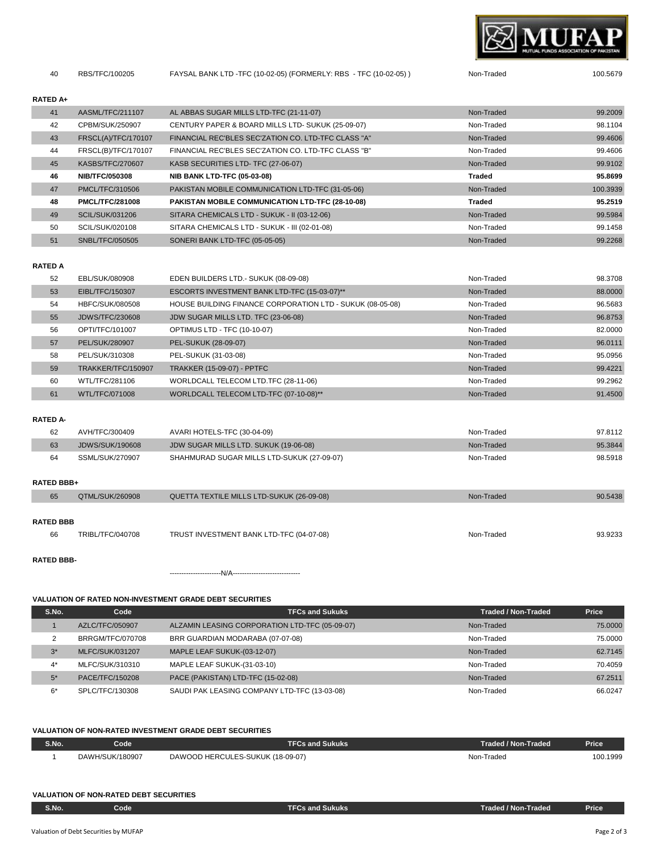

RBS/TFC/100205 FAYSAL BANK LTD -TFC (10-02-05) (FORMERLY: RBS - TFC (10-02-05) ) Non-Traded 100.5679

#### **RATED A+**

| RATED A+ |                        |                                                     |               |          |
|----------|------------------------|-----------------------------------------------------|---------------|----------|
| 41       | AASML/TFC/211107       | AL ABBAS SUGAR MILLS LTD-TFC (21-11-07)             | Non-Traded    | 99.2009  |
| 42       | CPBM/SUK/250907        | CENTURY PAPER & BOARD MILLS LTD- SUKUK (25-09-07)   | Non-Traded    | 98.1104  |
| 43       | FRSCL(A)/TFC/170107    | FINANCIAL REC'BLES SEC'ZATION CO. LTD-TFC CLASS "A" | Non-Traded    | 99.4606  |
| 44       | FRSCL(B)/TFC/170107    | FINANCIAL REC'BLES SEC'ZATION CO. LTD-TFC CLASS "B" | Non-Traded    | 99.4606  |
| 45       | KASBS/TFC/270607       | KASB SECURITIES LTD- TFC (27-06-07)                 | Non-Traded    | 99.9102  |
| 46       | <b>NIB/TFC/050308</b>  | <b>NIB BANK LTD-TFC (05-03-08)</b>                  | Traded        | 95.8699  |
| 47       | PMCL/TFC/310506        | PAKISTAN MOBILE COMMUNICATION LTD-TFC (31-05-06)    | Non-Traded    | 100.3939 |
| 48       | <b>PMCL/TFC/281008</b> | PAKISTAN MOBILE COMMUNICATION LTD-TFC (28-10-08)    | <b>Traded</b> | 95.2519  |
| 49       | <b>SCIL/SUK/031206</b> | SITARA CHEMICALS LTD - SUKUK - II (03-12-06)        | Non-Traded    | 99.5984  |
| 50       | SCIL/SUK/020108        | SITARA CHEMICALS LTD - SUKUK - III (02-01-08)       | Non-Traded    | 99.1458  |
| 51       | SNBL/TFC/050505        | SONERI BANK LTD-TFC (05-05-05)                      | Non-Traded    | 99.2268  |

#### **RATED A**

| 52 | EBL/SUK/080908         | EDEN BUILDERS LTD.- SUKUK (08-09-08)                      | Non-Traded | 98.3708 |
|----|------------------------|-----------------------------------------------------------|------------|---------|
| 53 | EIBL/TFC/150307        | ESCORTS INVESTMENT BANK LTD-TFC (15-03-07)**              | Non-Traded | 88.0000 |
| 54 | HBFC/SUK/080508        | HOUSE BUILDING FINANCE CORPORATION LTD - SUKUK (08-05-08) | Non-Traded | 96.5683 |
| 55 | <b>JDWS/TFC/230608</b> | JDW SUGAR MILLS LTD. TFC (23-06-08)                       | Non-Traded | 96.8753 |
| 56 | OPTI/TFC/101007        | <b>OPTIMUS LTD - TFC (10-10-07)</b>                       | Non-Traded | 82.0000 |
| 57 | PEL/SUK/280907         | PEL-SUKUK (28-09-07)                                      | Non-Traded | 96.0111 |
| 58 | PEL/SUK/310308         | PEL-SUKUK (31-03-08)                                      | Non-Traded | 95.0956 |
| 59 | TRAKKER/TFC/150907     | <b>TRAKKER (15-09-07) - PPTFC</b>                         | Non-Traded | 99.4221 |
| 60 | WTL/TFC/281106         | WORLDCALL TELECOM LTD.TFC (28-11-06)                      | Non-Traded | 99.2962 |
| 61 | <b>WTL/TFC/071008</b>  | WORLDCALL TELECOM LTD-TFC (07-10-08)**                    | Non-Traded | 91.4500 |

### **RATED A-**

| 62 | AVH/TFC/300409  | AVARI HOTELS-TFC (30-04-09)                | Non-Traded | 97.8112 |
|----|-----------------|--------------------------------------------|------------|---------|
| 63 | JDWS/SUK/190608 | JDW SUGAR MILLS LTD. SUKUK (19-06-08)      | Non-Traded | 95.3844 |
| 64 | SSML/SUK/270907 | SHAHMURAD SUGAR MILLS LTD-SUKUK (27-09-07) | Non-Traded | 98.5918 |

#### **RATED BBB+**

| .                 |                  |                                           |            |         |
|-------------------|------------------|-------------------------------------------|------------|---------|
| 65                | QTML/SUK/260908  | QUETTA TEXTILE MILLS LTD-SUKUK (26-09-08) | Non-Traded | 90.5438 |
| <b>RATED BBB</b>  |                  |                                           |            |         |
|                   |                  |                                           |            |         |
| 66                | TRIBL/TFC/040708 | TRUST INVESTMENT BANK LTD-TFC (04-07-08)  | Non-Traded | 93.9233 |
|                   |                  |                                           |            |         |
| <b>RATED BBB-</b> |                  |                                           |            |         |

# **VALUATION OF RATED NON-INVESTMENT GRADE DEBT SECURITIES**

----------------------N/A-----------------------------

| S.No. | Code                   | <b>TFCs and Sukuks</b>                         | <b>Traded / Non-Traded</b> | Price   |
|-------|------------------------|------------------------------------------------|----------------------------|---------|
|       | AZLC/TFC/050907        | ALZAMIN LEASING CORPORATION LTD-TFC (05-09-07) | Non-Traded                 | 75.0000 |
|       | BRRGM/TFC/070708       | BRR GUARDIAN MODARABA (07-07-08)               | Non-Traded                 | 75.0000 |
| $3^*$ | <b>MLFC/SUK/031207</b> | MAPLE LEAF SUKUK-(03-12-07)                    | Non-Traded                 | 62.7145 |
| $4^*$ | MLFC/SUK/310310        | MAPLE LEAF SUKUK-(31-03-10)                    | Non-Traded                 | 70.4059 |
| $5*$  | PACE/TFC/150208        | PACE (PAKISTAN) LTD-TFC (15-02-08)             | Non-Traded                 | 67.2511 |
| $6*$  | SPLC/TFC/130308        | SAUDI PAK LEASING COMPANY LTD-TFC (13-03-08)   | Non-Traded                 | 66.0247 |

### **VALUATION OF NON-RATED INVESTMENT GRADE DEBT SECURITIES**

| S.No. | Code            | <b>Sukuks</b><br>us and                    | <b>Fraded / Non-Traded</b> | <b>Price</b> |
|-------|-----------------|--------------------------------------------|----------------------------|--------------|
|       | DAWH/SUK/180907 | DAWOOD HERCUL<br>LES-SUKUK<br>$(18-09-07)$ | Non-Traded                 | 100.1999     |

# **VALUATION OF NON-RATED DEBT SECURITIES**

| S.No. | Code | and Sukuks:<br>- 1<br>$\cdots$ | Traded / Non-Traded, | Price |
|-------|------|--------------------------------|----------------------|-------|
|       |      |                                |                      |       |